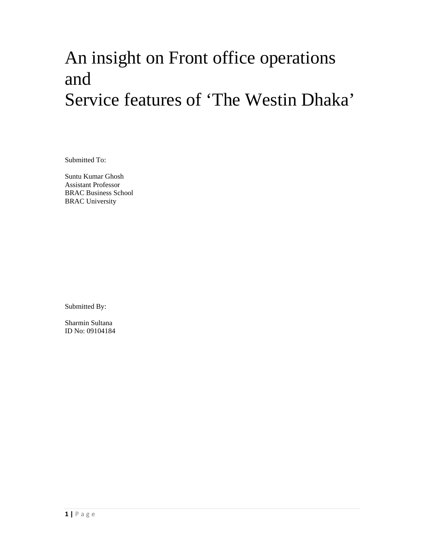# An insight on Front office operations and Service features of 'The Westin Dhaka'

Submitted To:

Suntu Kumar Ghosh Assistant Professor BRAC Business School BRAC University

Submitted By:

Sharmin Sultana ID No: 09104184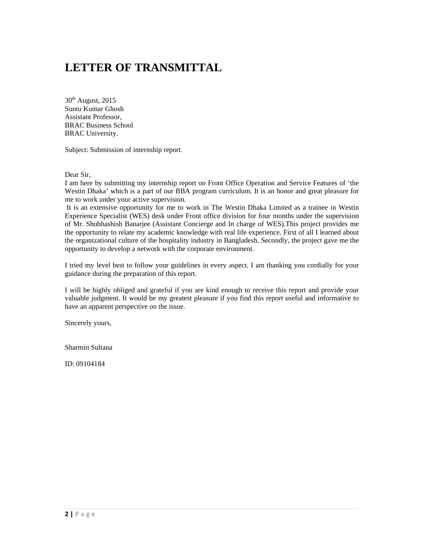## **LETTER OF TRANSMITTAL**

 $30<sup>th</sup>$  August, 2015 Suntu Kumar Ghosh Assistant Professor, BRAC Business School BRAC University.

Subject: Submission of internship report.

Dear Sir,

I am here by submitting my internship report on Front Office Operation and Service Features of 'the Westin Dhaka' which is a part of our BBA program curriculum. It is an honor and great pleasure for me to work under your active supervision.

 It is an extensive opportunity for me to work in The Westin Dhaka Limited as a trainee in Westin Experience Specialist (WES) desk under Front office division for four months under the supervision of Mr. Shubhashish Banarjee (Assistant Concierge and In charge of WES).This project provides me the opportunity to relate my academic knowledge with real life experience. First of all I learned about the organizational culture of the hospitality industry in Bangladesh. Secondly, the project gave me the opportunity to develop a network with the corporate environment.

I tried my level best to follow your guidelines in every aspect. I am thanking you cordially for your guidance during the preparation of this report.

I will be highly obliged and grateful if you are kind enough to receive this report and provide your valuable judgment. It would be my greatest pleasure if you find this report useful and informative to have an apparent perspective on the issue.

Sincerely yours,

Sharmin Sultana

ID: 09104184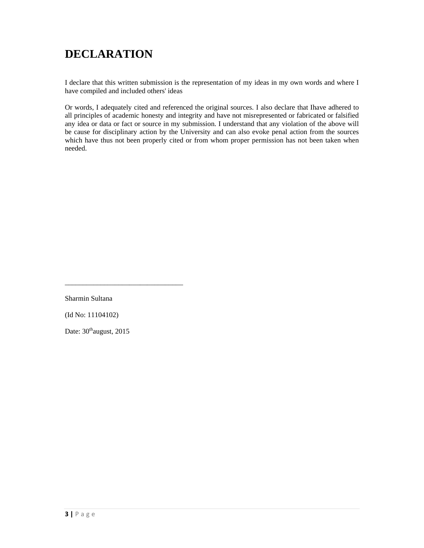## **DECLARATION**

I declare that this written submission is the representation of my ideas in my own words and where I have compiled and included others' ideas

Or words, I adequately cited and referenced the original sources. I also declare that Ihave adhered to all principles of academic honesty and integrity and have not misrepresented or fabricated or falsified any idea or data or fact or source in my submission. I understand that any violation of the above will be cause for disciplinary action by the University and can also evoke penal action from the sources which have thus not been properly cited or from whom proper permission has not been taken when needed.

Sharmin Sultana

(Id No: 11104102)

Date:  $30^{\text{th}}$ august, 2015

\_\_\_\_\_\_\_\_\_\_\_\_\_\_\_\_\_\_\_\_\_\_\_\_\_\_\_\_\_\_\_\_\_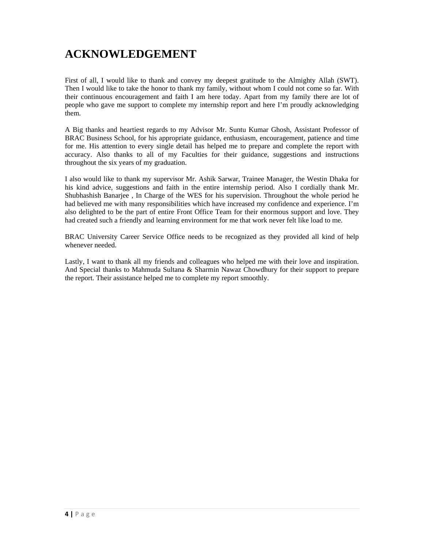## **ACKNOWLEDGEMENT**

First of all, I would like to thank and convey my deepest gratitude to the Almighty Allah (SWT). Then I would like to take the honor to thank my family, without whom I could not come so far. With their continuous encouragement and faith I am here today. Apart from my family there are lot of people who gave me support to complete my internship report and here I'm proudly acknowledging them.

A Big thanks and heartiest regards to my Advisor Mr. Suntu Kumar Ghosh, Assistant Professor of BRAC Business School, for his appropriate guidance, enthusiasm, encouragement, patience and time for me. His attention to every single detail has helped me to prepare and complete the report with accuracy. Also thanks to all of my Faculties for their guidance, suggestions and instructions throughout the six years of my graduation.

I also would like to thank my supervisor Mr. Ashik Sarwar, Trainee Manager, the Westin Dhaka for his kind advice, suggestions and faith in the entire internship period. Also I cordially thank Mr. Shubhashish Banarjee , In Charge of the WES for his supervision. Throughout the whole period he had believed me with many responsibilities which have increased my confidence and experience. I'm also delighted to be the part of entire Front Office Team for their enormous support and love. They had created such a friendly and learning environment for me that work never felt like load to me.

BRAC University Career Service Office needs to be recognized as they provided all kind of help whenever needed.

Lastly, I want to thank all my friends and colleagues who helped me with their love and inspiration. And Special thanks to Mahmuda Sultana & Sharmin Nawaz Chowdhury for their support to prepare the report. Their assistance helped me to complete my report smoothly.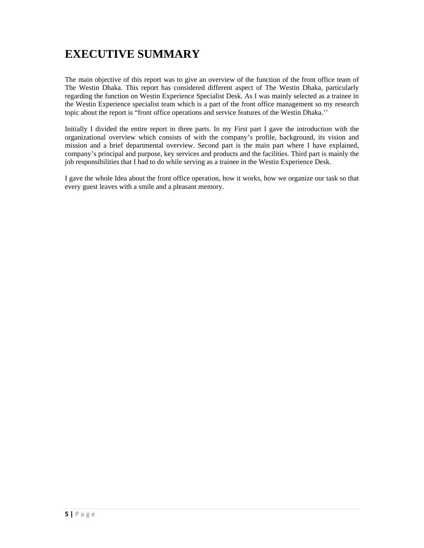## **EXECUTIVE SUMMARY**

The main objective of this report was to give an overview of the function of the front office team of The Westin Dhaka. This report has considered different aspect of The Westin Dhaka, particularly regarding the function on Westin Experience Specialist Desk. As I was mainly selected as a trainee in the Westin Experience specialist team which is a part of the front office management so my research topic about the report is "front office operations and service features of the Westin Dhaka.''

Initially I divided the entire report in three parts. In my First part I gave the introduction with the organizational overview which consists of with the company's profile, background, its vision and mission and a brief departmental overview. Second part is the main part where I have explained, company's principal and purpose, key services and products and the facilities. Third part is mainly the job responsibilities that I had to do while serving as a trainee in the Westin Experience Desk.

I gave the whole Idea about the front office operation, how it works, how we organize our task so that every guest leaves with a smile and a pleasant memory.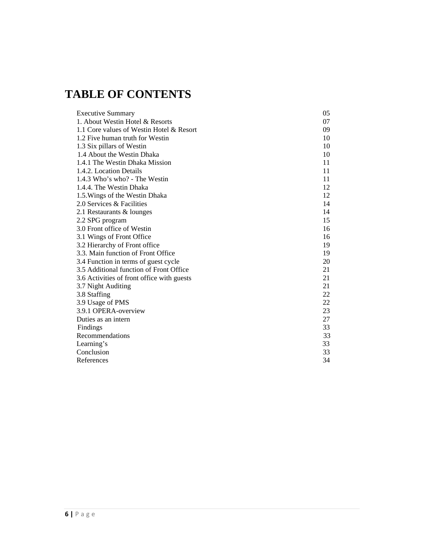## **TABLE OF CONTENTS**

| <b>Executive Summary</b>                   | 05 |
|--------------------------------------------|----|
| 1. About Westin Hotel & Resorts            | 07 |
| 1.1 Core values of Westin Hotel & Resort   | 09 |
| 1.2 Five human truth for Westin            | 10 |
| 1.3 Six pillars of Westin                  | 10 |
| 1.4 About the Westin Dhaka                 | 10 |
| 1.4.1 The Westin Dhaka Mission             | 11 |
| 1.4.2. Location Details                    | 11 |
| 1.4.3 Who's who? - The Westin              | 11 |
| 1.4.4. The Westin Dhaka                    | 12 |
| 1.5. Wings of the Westin Dhaka             | 12 |
| 2.0 Services & Facilities                  | 14 |
| 2.1 Restaurants & lounges                  | 14 |
| 2.2 SPG program                            | 15 |
| 3.0 Front office of Westin                 | 16 |
| 3.1 Wings of Front Office                  | 16 |
| 3.2 Hierarchy of Front office              | 19 |
| 3.3. Main function of Front Office         | 19 |
| 3.4 Function in terms of guest cycle       | 20 |
| 3.5 Additional function of Front Office    | 21 |
| 3.6 Activities of front office with guests | 21 |
| 3.7 Night Auditing                         | 21 |
| 3.8 Staffing                               | 22 |
| 3.9 Usage of PMS                           | 22 |
| 3.9.1 OPERA-overview                       | 23 |
| Duties as an intern                        | 27 |
| Findings                                   | 33 |
| Recommendations                            | 33 |
| Learning's                                 | 33 |
| Conclusion                                 | 33 |
| References                                 | 34 |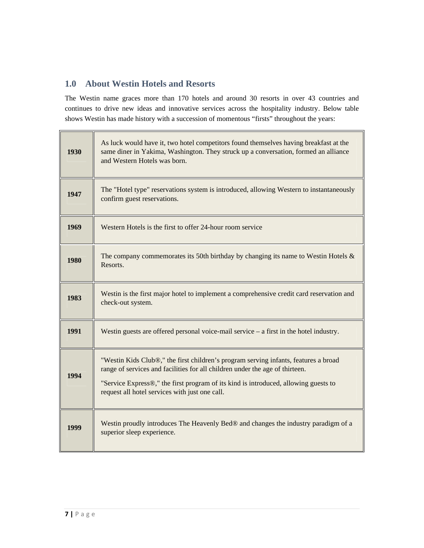## **1.0 About Westin Hotels and Resorts**

The Westin name graces more than 170 hotels and around 30 resorts in over 43 countries and continues to drive new ideas and innovative services across the hospitality industry. Below table shows Westin has made history with a succession of momentous "firsts" throughout the years:

| 1930 | As luck would have it, two hotel competitors found themselves having breakfast at the<br>same diner in Yakima, Washington. They struck up a conversation, formed an alliance<br>and Western Hotels was born.                                                                                                 |
|------|--------------------------------------------------------------------------------------------------------------------------------------------------------------------------------------------------------------------------------------------------------------------------------------------------------------|
| 1947 | The "Hotel type" reservations system is introduced, allowing Western to instantaneously<br>confirm guest reservations.                                                                                                                                                                                       |
| 1969 | Western Hotels is the first to offer 24-hour room service                                                                                                                                                                                                                                                    |
| 1980 | The company commemorates its 50th birthday by changing its name to Westin Hotels $\&$<br>Resorts.                                                                                                                                                                                                            |
| 1983 | Westin is the first major hotel to implement a comprehensive credit card reservation and<br>check-out system.                                                                                                                                                                                                |
| 1991 | Westin guests are offered personal voice-mail service $-$ a first in the hotel industry.                                                                                                                                                                                                                     |
| 1994 | "Westin Kids Club®," the first children's program serving infants, features a broad<br>range of services and facilities for all children under the age of thirteen.<br>"Service Express®," the first program of its kind is introduced, allowing guests to<br>request all hotel services with just one call. |
| 1999 | Westin proudly introduces The Heavenly Bed® and changes the industry paradigm of a<br>superior sleep experience.                                                                                                                                                                                             |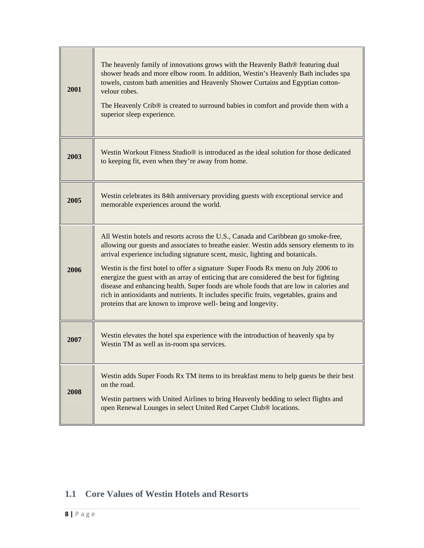| 2001 | The heavenly family of innovations grows with the Heavenly Bath® featuring dual<br>shower heads and more elbow room. In addition, Westin's Heavenly Bath includes spa<br>towels, custom bath amenities and Heavenly Shower Curtains and Egyptian cotton-<br>velour robes.<br>The Heavenly Crib® is created to surround babies in comfort and provide them with a<br>superior sleep experience.                                                                                                                                                                                                                                                                                                         |
|------|--------------------------------------------------------------------------------------------------------------------------------------------------------------------------------------------------------------------------------------------------------------------------------------------------------------------------------------------------------------------------------------------------------------------------------------------------------------------------------------------------------------------------------------------------------------------------------------------------------------------------------------------------------------------------------------------------------|
| 2003 | Westin Workout Fitness Studio <sup>®</sup> is introduced as the ideal solution for those dedicated<br>to keeping fit, even when they're away from home.                                                                                                                                                                                                                                                                                                                                                                                                                                                                                                                                                |
| 2005 | Westin celebrates its 84th anniversary providing guests with exceptional service and<br>memorable experiences around the world.                                                                                                                                                                                                                                                                                                                                                                                                                                                                                                                                                                        |
| 2006 | All Westin hotels and resorts across the U.S., Canada and Caribbean go smoke-free,<br>allowing our guests and associates to breathe easier. Westin adds sensory elements to its<br>arrival experience including signature scent, music, lighting and botanicals.<br>Westin is the first hotel to offer a signature Super Foods Rx menu on July 2006 to<br>energize the guest with an array of enticing that are considered the best for fighting<br>disease and enhancing health. Super foods are whole foods that are low in calories and<br>rich in antioxidants and nutrients. It includes specific fruits, vegetables, grains and<br>proteins that are known to improve well- being and longevity. |
| 2007 | Westin elevates the hotel spa experience with the introduction of heavenly spa by<br>Westin TM as well as in-room spa services.                                                                                                                                                                                                                                                                                                                                                                                                                                                                                                                                                                        |
| 2008 | Westin adds Super Foods Rx TM items to its breakfast menu to help guests be their best<br>on the road.<br>Westin partners with United Airlines to bring Heavenly bedding to select flights and<br>open Renewal Lounges in select United Red Carpet Club® locations.                                                                                                                                                                                                                                                                                                                                                                                                                                    |

## **1.1 Core Values of Westin Hotels and Resorts**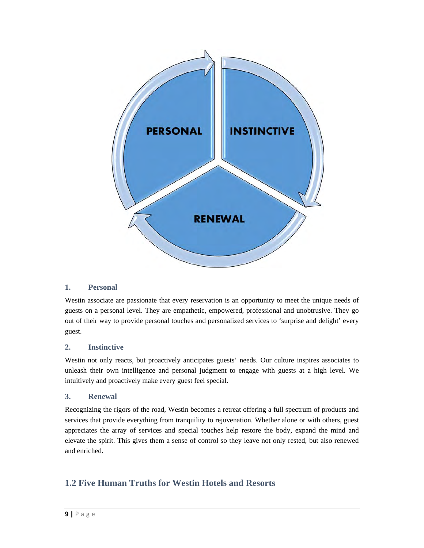

#### **1. Personal**

Westin associate are passionate that every reservation is an opportunity to meet the unique needs of guests on a personal level. They are empathetic, empowered, professional and unobtrusive. They go out of their way to provide personal touches and personalized services to 'surprise and delight' every guest.

#### **2. Instinctive**

Westin not only reacts, but proactively anticipates guests' needs. Our culture inspires associates to unleash their own intelligence and personal judgment to engage with guests at a high level. We intuitively and proactively make every guest feel special.

#### **3. Renewal**

Recognizing the rigors of the road, Westin becomes a retreat offering a full spectrum of products and services that provide everything from tranquility to rejuvenation. Whether alone or with others, guest appreciates the array of services and special touches help restore the body, expand the mind and elevate the spirit. This gives them a sense of control so they leave not only rested, but also renewed and enriched.

## **1.2 Five Human Truths for Westin Hotels and Resorts**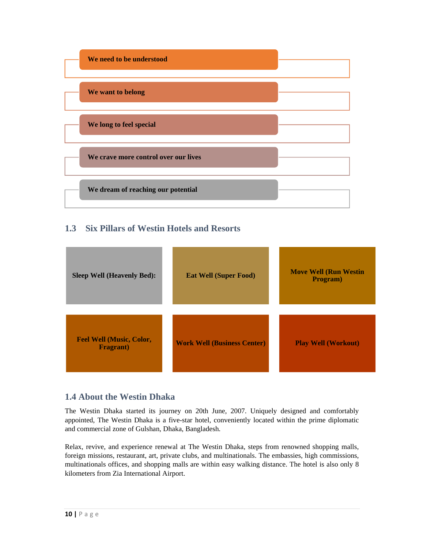

## **1.3 Six Pillars of Westin Hotels and Resorts**

| <b>Sleep Well (Heavenly Bed):</b>                    | <b>Eat Well (Super Food)</b>       | <b>Move Well (Run Westin</b><br>Program) |
|------------------------------------------------------|------------------------------------|------------------------------------------|
| <b>Feel Well (Music, Color,</b><br><b>Fragrant</b> ) | <b>Work Well (Business Center)</b> | <b>Play Well (Workout)</b>               |

## **1.4 About the Westin Dhaka**

The Westin Dhaka started its journey on 20th June, 2007. Uniquely designed and comfortably appointed, The Westin Dhaka is a five-star hotel, conveniently located within the prime diplomatic and commercial zone of Gulshan, Dhaka, Bangladesh.

Relax, revive, and experience renewal at The Westin Dhaka, steps from renowned shopping malls, foreign missions, restaurant, art, private clubs, and multinationals. The embassies, high commissions, multinationals offices, and shopping malls are within easy walking distance. The hotel is also only 8 kilometers from Zia International Airport.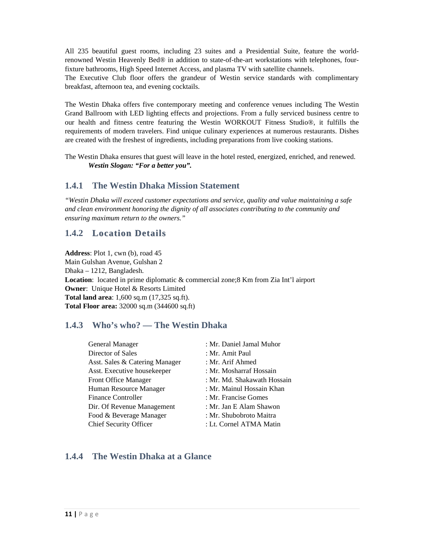All 235 beautiful guest rooms, including 23 suites and a Presidential Suite, feature the worldrenowned Westin Heavenly Bed® in addition to state-of-the-art workstations with telephones, fourfixture bathrooms, High Speed Internet Access, and plasma TV with satellite channels.

The Executive Club floor offers the grandeur of Westin service standards with complimentary breakfast, afternoon tea, and evening cocktails.

The Westin Dhaka offers five contemporary meeting and conference venues including The Westin Grand Ballroom with LED lighting effects and projections. From a fully serviced business centre to our health and fitness centre featuring the Westin WORKOUT Fitness Studio®, it fulfills the requirements of modern travelers. Find unique culinary experiences at numerous restaurants. Dishes are created with the freshest of ingredients, including preparations from live cooking stations.

The Westin Dhaka ensures that guest will leave in the hotel rested, energized, enriched, and renewed. *Westin Slogan: "For a better you".* 

## **1.4.1 The Westin Dhaka Mission Statement**

*"Westin Dhaka will exceed customer expectations and service, quality and value maintaining a safe and clean environment honoring the dignity of all associates contributing to the community and ensuring maximum return to the owners."* 

## **1.4.2 Location Details**

**Address**: Plot 1, cwn (b), road 45 Main Gulshan Avenue, Gulshan 2 Dhaka – 1212, Bangladesh. **Location**: located in prime diplomatic & commercial zone;8 Km from Zia Int'l airport **Owner**: Unique Hotel & Resorts Limited **Total land area**: 1,600 sq.m (17,325 sq.ft). **Total Floor area:** 32000 sq.m (344600 sq.ft)

## **1.4.3 Who's who? — The Westin Dhaka**

| <b>General Manager</b>         | : Mr. Daniel Jamal Muhor    |  |
|--------------------------------|-----------------------------|--|
| Director of Sales              | : Mr. Amit Paul             |  |
| Asst. Sales & Catering Manager | : Mr. Arif Ahmed            |  |
| Asst. Executive housekeeper    | : Mr. Mosharraf Hossain     |  |
| Front Office Manager           | : Mr. Md. Shakawath Hossain |  |
| Human Resource Manager         | : Mr. Mainul Hossain Khan   |  |
| <b>Finance Controller</b>      | : Mr. Francise Gomes        |  |
| Dir. Of Revenue Management     | : Mr. Jan E Alam Shawon     |  |
| Food & Beverage Manager        | : Mr. Shubobroto Maitra     |  |
| Chief Security Officer         | : Lt. Cornel ATMA Matin     |  |

## **1.4.4 The Westin Dhaka at a Glance**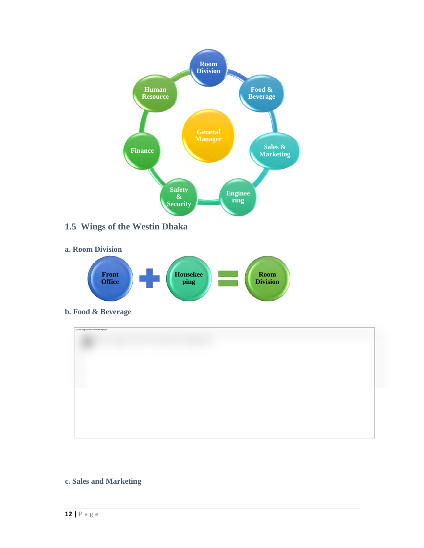

### **c. Sales and Marketing**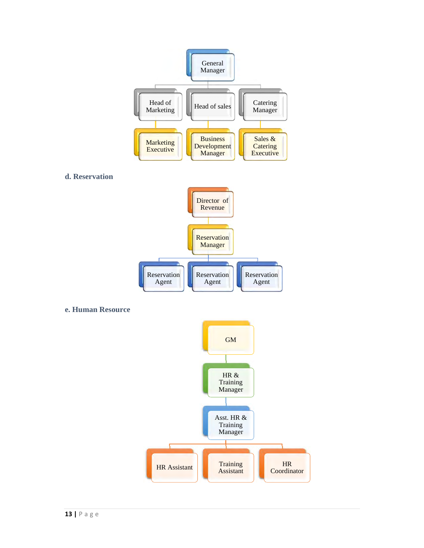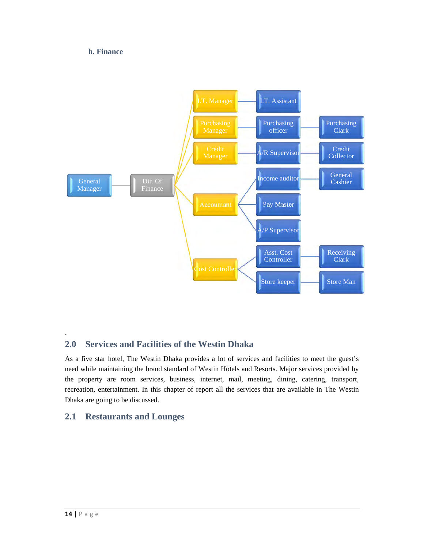#### **h. Finance**



## **2.0 Services and Facilities of the Westin Dhaka**

As a five star hotel, The Westin Dhaka provides a lot of services and facilities to meet the guest's need while maintaining the brand standard of Westin Hotels and Resorts. Major services provided by the property are room services, business, internet, mail, meeting, dining, catering, transport, recreation, entertainment. In this chapter of report all the services that are available in The Westin Dhaka are going to be discussed.

## **2.1 Restaurants and Lounges**

.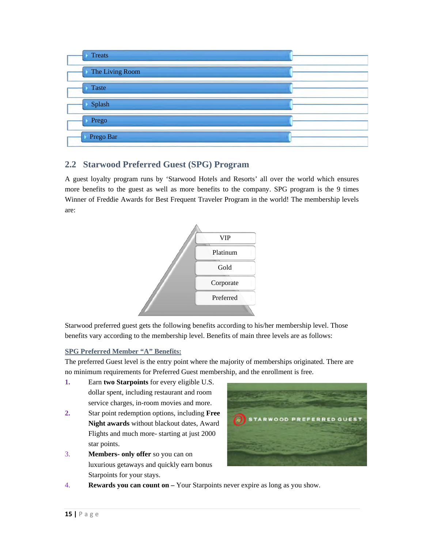

## **2.2 Starwood Preferred Guest (SPG) Program**

A guest loyalty program runs by 'Starwood Hotels and Resorts' all over the world which ensures more benefits to the guest as well as more benefits to the company. SPG program is the 9 times Winner of Freddie Awards for Best Frequent Traveler Program in the world! The membership levels are:



Starwood preferred guest gets the following benefits according to his/her membership level. Those benefits vary according to the membership level. Benefits of main three levels are as follows:

#### **SPG Preferred Member "A" Benefits:**

The preferred Guest level is the entry point where the majority of memberships originated. There are no minimum requirements for Preferred Guest membership, and the enrollment is free.

- **1.** Earn **two Starpoints** for every eligible U.S. dollar spent, including restaurant and room service charges, in-room movies and more.
- **2.** Star point redemption options, including **Free Night awards** without blackout dates, Award Flights and much more- starting at just 2000 star points.
- 3. **Members- only offer** so you can on luxurious getaways and quickly earn bonus Starpoints for your stays.



4. **Rewards you can count on –** Your Starpoints never expire as long as you show.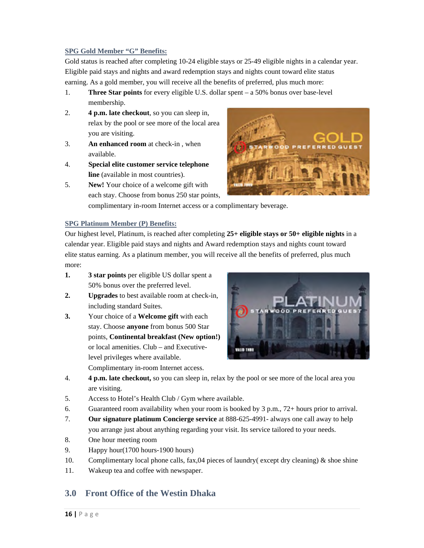#### **SPG Gold Member "G" Benefits:**

Gold status is reached after completing 10-24 eligible stays or 25-49 eligible nights in a calendar year. Eligible paid stays and nights and award redemption stays and nights count toward elite status earning. As a gold member, you will receive all the benefits of preferred, plus much more:

- 1. **Three Star points** for every eligible U.S. dollar spent a 50% bonus over base-level membership.
- 2. **4 p.m. late checkout**, so you can sleep in, relax by the pool or see more of the local area you are visiting.
- 3. **An enhanced room** at check-in , when available.
- 4. **Special elite customer service telephone line** (available in most countries).
- 5. **New!** Your choice of a welcome gift with each stay. Choose from bonus 250 star points,



complimentary in-room Internet access or a complimentary beverage.

#### **SPG Platinum Member (P) Benefits:**

Our highest level, Platinum, is reached after completing **25+ eligible stays or 50+ eligible nights** in a calendar year. Eligible paid stays and nights and Award redemption stays and nights count toward elite status earning. As a platinum member, you will receive all the benefits of preferred, plus much more:

- **1. 3 star points** per eligible US dollar spent a 50% bonus over the preferred level.
- **2. Upgrades** to best available room at check-in, including standard Suites.
- **3.** Your choice of a **Welcome gift** with each stay. Choose **anyone** from bonus 500 Star points, **Continental breakfast (New option!)** or local amenities. Club – and Executivelevel privileges where available. Complimentary in-room Internet access.



- 4. **4 p.m. late checkout,** so you can sleep in, relax by the pool or see more of the local area you are visiting.
- 5. Access to Hotel's Health Club / Gym where available.
- 6. Guaranteed room availability when your room is booked by  $3 \text{ p.m.}, 72+ \text{hours prior to arrival.}$
- 7. **Our signature platinum Concierge service** at 888-625-4991- always one call away to help you arrange just about anything regarding your visit. Its service tailored to your needs.
- 8. One hour meeting room
- 9. Happy hour(1700 hours-1900 hours)
- 10. Complimentary local phone calls, fax,04 pieces of laundry( except dry cleaning) & shoe shine
- 11. Wakeup tea and coffee with newspaper.

## **3.0 Front Office of the Westin Dhaka**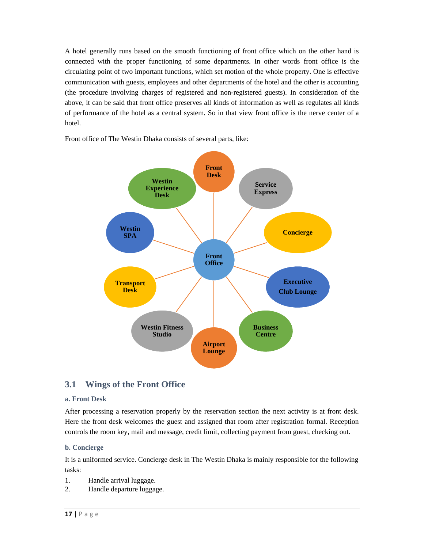A hotel generally runs based on the smooth functioning of front office which on the other hand is connected with the proper functioning of some departments. In other words front office is the circulating point of two important functions, which set motion of the whole property. One is effective communication with guests, employees and other departments of the hotel and the other is accounting (the procedure involving charges of registered and non-registered guests). In consideration of the above, it can be said that front office preserves all kinds of information as well as regulates all kinds of performance of the hotel as a central system. So in that view front office is the nerve center of a hotel.



Front office of The Westin Dhaka consists of several parts, like:

## **3.1 Wings of the Front Office**

#### **a. Front Desk**

After processing a reservation properly by the reservation section the next activity is at front desk. Here the front desk welcomes the guest and assigned that room after registration formal. Reception controls the room key, mail and message, credit limit, collecting payment from guest, checking out.

#### **b. Concierge**

It is a uniformed service. Concierge desk in The Westin Dhaka is mainly responsible for the following tasks:

- 1. Handle arrival luggage.
- 2. Handle departure luggage.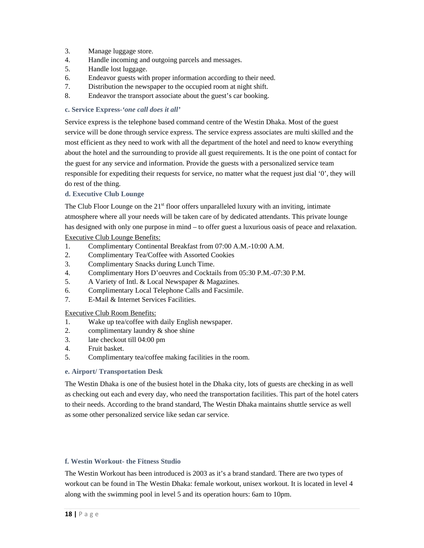- 3. Manage luggage store.
- 4. Handle incoming and outgoing parcels and messages.
- 5. Handle lost luggage.
- 6. Endeavor guests with proper information according to their need.
- 7. Distribution the newspaper to the occupied room at night shift.
- 8. Endeavor the transport associate about the guest's car booking.

#### **c. Service Express-***'one call does it all'*

Service express is the telephone based command centre of the Westin Dhaka. Most of the guest service will be done through service express. The service express associates are multi skilled and the most efficient as they need to work with all the department of the hotel and need to know everything about the hotel and the surrounding to provide all guest requirements. It is the one point of contact for the guest for any service and information. Provide the guests with a personalized service team responsible for expediting their requests for service, no matter what the request just dial '0', they will do rest of the thing.

#### **d. Executive Club Lounge**

The Club Floor Lounge on the  $21<sup>st</sup>$  floor offers unparalleled luxury with an inviting, intimate atmosphere where all your needs will be taken care of by dedicated attendants. This private lounge has designed with only one purpose in mind – to offer guest a luxurious oasis of peace and relaxation. Executive Club Lounge Benefits:

- 1. Complimentary Continental Breakfast from 07:00 A.M.-10:00 A.M.
- 2. Complimentary Tea/Coffee with Assorted Cookies
- 3. Complimentary Snacks during Lunch Time.
- 4. Complimentary Hors D'oeuvres and Cocktails from 05:30 P.M.-07:30 P.M.
- 5. A Variety of Intl. & Local Newspaper & Magazines.
- 6. Complimentary Local Telephone Calls and Facsimile.
- 7. E-Mail & Internet Services Facilities.

#### Executive Club Room Benefits:

- 1. Wake up tea/coffee with daily English newspaper.
- 2. complimentary laundry & shoe shine
- 3. late checkout till 04:00 pm
- 4. Fruit basket.
- 5. Complimentary tea/coffee making facilities in the room.

#### **e. Airport/ Transportation Desk**

The Westin Dhaka is one of the busiest hotel in the Dhaka city, lots of guests are checking in as well as checking out each and every day, who need the transportation facilities. This part of the hotel caters to their needs. According to the brand standard, The Westin Dhaka maintains shuttle service as well as some other personalized service like sedan car service.

#### **f. Westin Workout- the Fitness Studio**

The Westin Workout has been introduced is 2003 as it's a brand standard. There are two types of workout can be found in The Westin Dhaka: female workout, unisex workout. It is located in level 4 along with the swimming pool in level 5 and its operation hours: 6am to 10pm.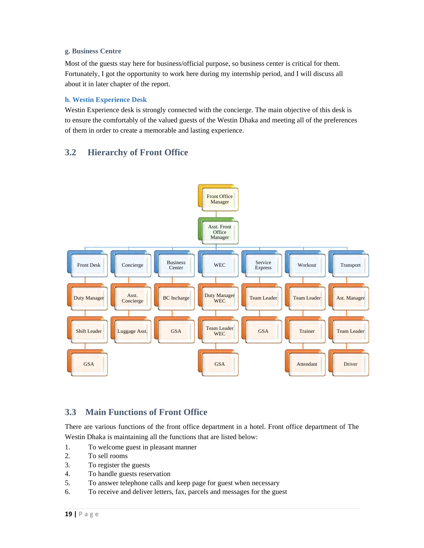#### **g. Business Centre**

Most of the guests stay here for business/official purpose, so business center is critical for them. Fortunately, I got the opportunity to work here during my internship period, and I will discuss all about it in later chapter of the report.

#### **h. Westin Experience Desk**

Westin Experience desk is strongly connected with the concierge. The main objective of this desk is to ensure the comfortably of the valued guests of the Westin Dhaka and meeting all of the preferences of them in order to create a memorable and lasting experience.

## **3.2 Hierarchy of Front Office**



## **3.3 Main Functions of Front Office**

There are various functions of the front office department in a hotel. Front office department of The Westin Dhaka is maintaining all the functions that are listed below:

- 1. To welcome guest in pleasant manner
- 2. To sell rooms
- 3. To register the guests
- 4. To handle guests reservation
- 5. To answer telephone calls and keep page for guest when necessary
- 6. To receive and deliver letters, fax, parcels and messages for the guest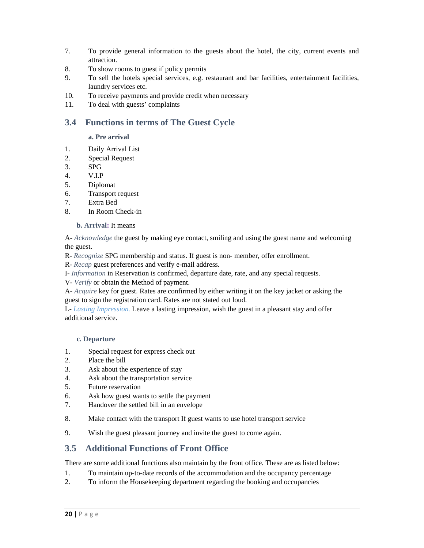- 7. To provide general information to the guests about the hotel, the city, current events and attraction.
- 8. To show rooms to guest if policy permits
- 9. To sell the hotels special services, e.g. restaurant and bar facilities, entertainment facilities, laundry services etc.
- 10. To receive payments and provide credit when necessary
- 11. To deal with guests' complaints

## **3.4 Functions in terms of The Guest Cycle**

#### **a. Pre arrival**

- 1. Daily Arrival List
- 2. Special Request
- 3. SPG
- 4. V.I.P
- 5. Diplomat
- 6. Transport request
- 7. Extra Bed
- 8. In Room Check-in

#### **b. Arrival:** It means

A- *Acknowledge* the guest by making eye contact, smiling and using the guest name and welcoming the guest.

- R- *Recognize* SPG membership and status. If guest is non- member, offer enrollment.
- R- *Recap* guest preferences and verify e-mail address.
- I- *Information* in Reservation is confirmed, departure date, rate, and any special requests.
- V- *Verify* or obtain the Method of payment.

A- *Acquire* key for guest. Rates are confirmed by either writing it on the key jacket or asking the guest to sign the registration card. Rates are not stated out loud.

L- *Lasting Impression.* Leave a lasting impression, wish the guest in a pleasant stay and offer additional service.

#### **c. Departure**

- 1. Special request for express check out
- 2. Place the bill
- 3. Ask about the experience of stay
- 4. Ask about the transportation service
- 5. Future reservation
- 6. Ask how guest wants to settle the payment
- 7. Handover the settled bill in an envelope
- 8. Make contact with the transport If guest wants to use hotel transport service
- 9. Wish the guest pleasant journey and invite the guest to come again.

## **3.5 Additional Functions of Front Office**

There are some additional functions also maintain by the front office. These are as listed below:

- 1. To maintain up-to-date records of the accommodation and the occupancy percentage
- 2. To inform the Housekeeping department regarding the booking and occupancies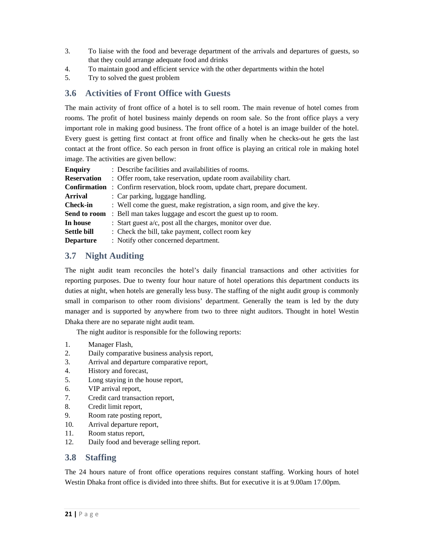- 3. To liaise with the food and beverage department of the arrivals and departures of guests, so that they could arrange adequate food and drinks
- 4. To maintain good and efficient service with the other departments within the hotel
- 5. Try to solved the guest problem

## **3.6 Activities of Front Office with Guests**

The main activity of front office of a hotel is to sell room. The main revenue of hotel comes from rooms. The profit of hotel business mainly depends on room sale. So the front office plays a very important role in making good business. The front office of a hotel is an image builder of the hotel. Every guest is getting first contact at front office and finally when he checks-out he gets the last contact at the front office. So each person in front office is playing an critical role in making hotel image. The activities are given bellow:

| <b>Enquiry</b>      | : Describe facilities and availabilities of rooms.                       |  |  |
|---------------------|--------------------------------------------------------------------------|--|--|
| <b>Reservation</b>  | : Offer room, take reservation, update room availability chart.          |  |  |
| <b>Confirmation</b> | : Confirm reservation, block room, update chart, prepare document.       |  |  |
| <b>Arrival</b>      | : Car parking, luggage handling.                                         |  |  |
| <b>Check-in</b>     | : Well come the guest, make registration, a sign room, and give the key. |  |  |
| Send to room        | : Bell man takes luggage and escort the guest up to room.                |  |  |
| In house            | : Start guest $a/c$ , post all the charges, monitor over due.            |  |  |
| <b>Settle bill</b>  | : Check the bill, take payment, collect room key                         |  |  |
| <b>Departure</b>    | : Notify other concerned department.                                     |  |  |

## **3.7 Night Auditing**

The night audit team reconciles the hotel's daily financial transactions and other activities for reporting purposes. Due to twenty four hour nature of hotel operations this department conducts its duties at night, when hotels are generally less busy. The staffing of the night audit group is commonly small in comparison to other room divisions' department. Generally the team is led by the duty manager and is supported by anywhere from two to three night auditors. Thought in hotel Westin Dhaka there are no separate night audit team.

The night auditor is responsible for the following reports:

- 1. Manager Flash,
- 2. Daily comparative business analysis report,
- 3. Arrival and departure comparative report,
- 4. History and forecast,
- 5. Long staying in the house report,
- 6. VIP arrival report,
- 7. Credit card transaction report,
- 8. Credit limit report,
- 9. Room rate posting report,
- 10. Arrival departure report,
- 11. Room status report,
- 12. Daily food and beverage selling report.

## **3.8 Staffing**

The 24 hours nature of front office operations requires constant staffing. Working hours of hotel Westin Dhaka front office is divided into three shifts. But for executive it is at 9.00am 17.00pm.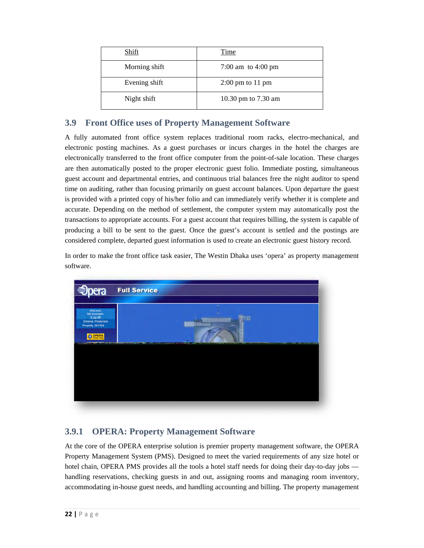| Shift         | Time                       |
|---------------|----------------------------|
| Morning shift | 7:00 am to 4:00 pm         |
| Evening shift | $2:00 \text{ pm}$ to 11 pm |
| Night shift   | 10.30 pm to 7.30 am        |

## **3.9 Front Office uses of Property Management Software**

A fully automated front office system replaces traditional room racks, electro-mechanical, and electronic posting machines. As a guest purchases or incurs charges in the hotel the charges are electronically transferred to the front office computer from the point-of-sale location. These charges are then automatically posted to the proper electronic guest folio. Immediate posting, simultaneous guest account and departmental entries, and continuous trial balances free the night auditor to spend time on auditing, rather than focusing primarily on guest account balances. Upon departure the guest is provided with a printed copy of his/her folio and can immediately verify whether it is complete and accurate. Depending on the method of settlement, the computer system may automatically post the transactions to appropriate accounts. For a guest account that requires billing, the system is capable of producing a bill to be sent to the guest. Once the guest's account is settled and the postings are considered complete, departed guest information is used to create an electronic guest history record.

In order to make the front office task easier, The Westin Dhaka uses 'opera' as property management software.



## **3.9.1 OPERA: Property Management Software**

At the core of the OPERA enterprise solution is premier property management software, the OPERA Property Management System (PMS). Designed to meet the varied requirements of any size hotel or hotel chain, OPERA PMS provides all the tools a hotel staff needs for doing their day-to-day jobs handling reservations, checking guests in and out, assigning rooms and managing room inventory, accommodating in-house guest needs, and handling accounting and billing. The property management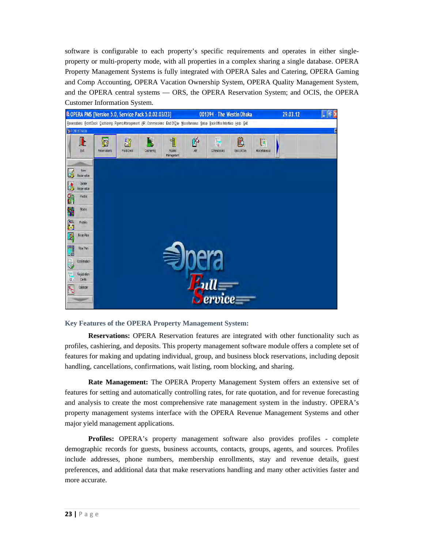software is configurable to each property's specific requirements and operates in either singleproperty or multi-property mode, with all properties in a complex sharing a single database. OPERA Property Management Systems is fully integrated with OPERA Sales and Catering, OPERA Gaming and Comp Accounting, OPERA Vacation Ownership System, OPERA Quality Management System, and the OPERA central systems — ORS, the OPERA Reservation System; and OCIS, the OPERA Customer Information System.



#### **Key Features of the OPERA Property Management System:**

**Reservations:** OPERA Reservation features are integrated with other functionality such as profiles, cashiering, and deposits. This property management software module offers a complete set of features for making and updating individual, group, and business block reservations, including deposit handling, cancellations, confirmations, wait listing, room blocking, and sharing.

**Rate Management:** The OPERA Property Management System offers an extensive set of features for setting and automatically controlling rates, for rate quotation, and for revenue forecasting and analysis to create the most comprehensive rate management system in the industry. OPERA's property management systems interface with the OPERA Revenue Management Systems and other major yield management applications.

**Profiles:** OPERA's property management software also provides profiles - complete demographic records for guests, business accounts, contacts, groups, agents, and sources. Profiles include addresses, phone numbers, membership enrollments, stay and revenue details, guest preferences, and additional data that make reservations handling and many other activities faster and more accurate.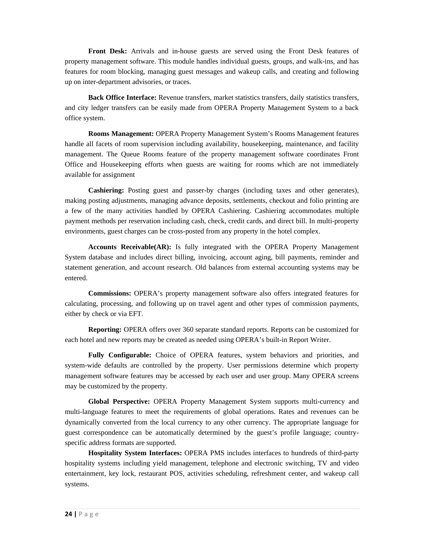**Front Desk:** Arrivals and in-house guests are served using the Front Desk features of property management software. This module handles individual guests, groups, and walk-ins, and has features for room blocking, managing guest messages and wakeup calls, and creating and following up on inter-department advisories, or traces.

**Back Office Interface:** Revenue transfers, market statistics transfers, daily statistics transfers, and city ledger transfers can be easily made from OPERA Property Management System to a back office system.

**Rooms Management:** OPERA Property Management System's Rooms Management features handle all facets of room supervision including availability, housekeeping, maintenance, and facility management. The Queue Rooms feature of the property management software coordinates Front Office and Housekeeping efforts when guests are waiting for rooms which are not immediately available for assignment

**Cashiering:** Posting guest and passer-by charges (including taxes and other generates), making posting adjustments, managing advance deposits, settlements, checkout and folio printing are a few of the many activities handled by OPERA Cashiering. Cashiering accommodates multiple payment methods per reservation including cash, check, credit cards, and direct bill. In multi-property environments, guest charges can be cross-posted from any property in the hotel complex.

**Accounts Receivable(AR):** Is fully integrated with the OPERA Property Management System database and includes direct billing, invoicing, account aging, bill payments, reminder and statement generation, and account research. Old balances from external accounting systems may be entered.

**Commissions:** OPERA's property management software also offers integrated features for calculating, processing, and following up on travel agent and other types of commission payments, either by check or via EFT.

**Reporting:** OPERA offers over 360 separate standard reports. Reports can be customized for each hotel and new reports may be created as needed using OPERA's built-in Report Writer.

**Fully Configurable:** Choice of OPERA features, system behaviors and priorities, and system-wide defaults are controlled by the property. User permissions determine which property management software features may be accessed by each user and user group. Many OPERA screens may be customized by the property.

**Global Perspective:** OPERA Property Management System supports multi-currency and multi-language features to meet the requirements of global operations. Rates and revenues can be dynamically converted from the local currency to any other currency. The appropriate language for guest correspondence can be automatically determined by the guest's profile language; countryspecific address formats are supported.

**Hospitality System Interfaces:** OPERA PMS includes interfaces to hundreds of third-party hospitality systems including yield management, telephone and electronic switching, TV and video entertainment, key lock, restaurant POS, activities scheduling, refreshment center, and wakeup call systems.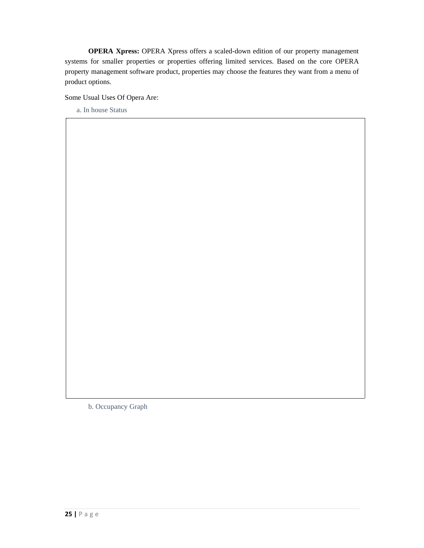**OPERA Xpress:** OPERA Xpress offers a scaled-down edition of our property management systems for smaller properties or properties offering limited services. Based on the core OPERA property management software product, properties may choose the features they want from a menu of product options.

Some Usual Uses Of Opera Are:

a. In house Status

b. Occupancy Graph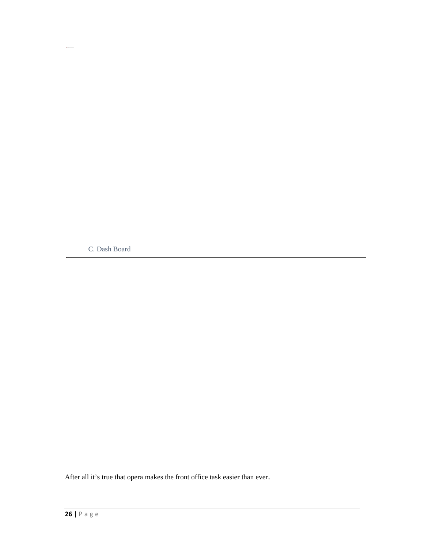C. Dash Board

After all it's true that opera makes the front office task easier than ever.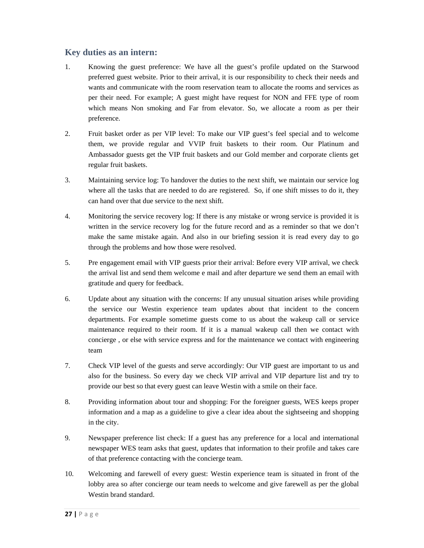## **Key duties as an intern:**

- 1. Knowing the guest preference: We have all the guest's profile updated on the Starwood preferred guest website. Prior to their arrival, it is our responsibility to check their needs and wants and communicate with the room reservation team to allocate the rooms and services as per their need. For example; A guest might have request for NON and FFE type of room which means Non smoking and Far from elevator. So, we allocate a room as per their preference.
- 2. Fruit basket order as per VIP level: To make our VIP guest's feel special and to welcome them, we provide regular and VVIP fruit baskets to their room. Our Platinum and Ambassador guests get the VIP fruit baskets and our Gold member and corporate clients get regular fruit baskets.
- 3. Maintaining service log: To handover the duties to the next shift, we maintain our service log where all the tasks that are needed to do are registered. So, if one shift misses to do it, they can hand over that due service to the next shift.
- 4. Monitoring the service recovery log: If there is any mistake or wrong service is provided it is written in the service recovery log for the future record and as a reminder so that we don't make the same mistake again. And also in our briefing session it is read every day to go through the problems and how those were resolved.
- 5. Pre engagement email with VIP guests prior their arrival: Before every VIP arrival, we check the arrival list and send them welcome e mail and after departure we send them an email with gratitude and query for feedback.
- 6. Update about any situation with the concerns: If any unusual situation arises while providing the service our Westin experience team updates about that incident to the concern departments. For example sometime guests come to us about the wakeup call or service maintenance required to their room. If it is a manual wakeup call then we contact with concierge , or else with service express and for the maintenance we contact with engineering team
- 7. Check VIP level of the guests and serve accordingly: Our VIP guest are important to us and also for the business. So every day we check VIP arrival and VIP departure list and try to provide our best so that every guest can leave Westin with a smile on their face.
- 8. Providing information about tour and shopping: For the foreigner guests, WES keeps proper information and a map as a guideline to give a clear idea about the sightseeing and shopping in the city.
- 9. Newspaper preference list check: If a guest has any preference for a local and international newspaper WES team asks that guest, updates that information to their profile and takes care of that preference contacting with the concierge team.
- 10. Welcoming and farewell of every guest: Westin experience team is situated in front of the lobby area so after concierge our team needs to welcome and give farewell as per the global Westin brand standard.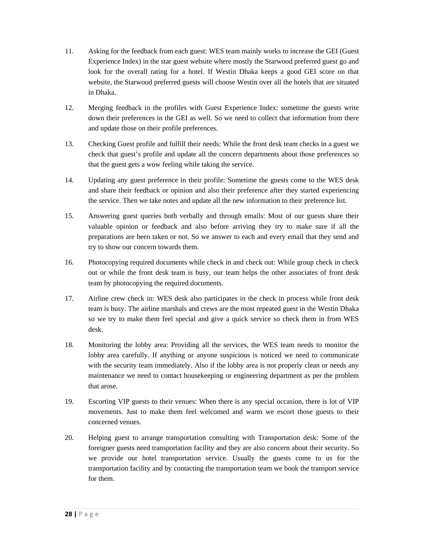- 11. Asking for the feedback from each guest: WES team mainly works to increase the GEI (Guest Experience Index) in the star guest website where mostly the Starwood preferred guest go and look for the overall rating for a hotel. If Westin Dhaka keeps a good GEI score on that website, the Starwood preferred guests will choose Westin over all the hotels that are situated in Dhaka.
- 12. Merging feedback in the profiles with Guest Experience Index: sometime the guests write down their preferences in the GEI as well. So we need to collect that information from there and update those on their profile preferences.
- 13. Checking Guest profile and fulfill their needs: While the front desk team checks in a guest we check that guest's profile and update all the concern departments about those preferences so that the guest gets a wow feeling while taking the service.
- 14. Updating any guest preference in their profile: Sometime the guests come to the WES desk and share their feedback or opinion and also their preference after they started experiencing the service. Then we take notes and update all the new information to their preference list.
- 15. Answering guest queries both verbally and through emails: Most of our guests share their valuable opinion or feedback and also before arriving they try to make sure if all the preparations are been taken or not. So we answer to each and every email that they send and try to show our concern towards them.
- 16. Photocopying required documents while check in and check out: While group check in check out or while the front desk team is busy, our team helps the other associates of front desk team by photocopying the required documents.
- 17. Airline crew check in: WES desk also participates in the check in process while front desk team is busy. The airline marshals and crews are the most repeated guest in the Westin Dhaka so we try to make them feel special and give a quick service so check them in from WES desk.
- 18. Monitoring the lobby area: Providing all the services, the WES team needs to monitor the lobby area carefully. If anything or anyone suspicious is noticed we need to communicate with the security team immediately. Also if the lobby area is not properly clean or needs any maintenance we need to contact housekeeping or engineering department as per the problem that arose.
- 19. Escorting VIP guests to their venues: When there is any special occasion, there is lot of VIP movements. Just to make them feel welcomed and warm we escort those guests to their concerned venues.
- 20. Helping guest to arrange transportation consulting with Transportation desk: Some of the foreigner guests need transportation facility and they are also concern about their security. So we provide our hotel transportation service. Usually the guests come to us for the transportation facility and by contacting the transportation team we book the transport service for them.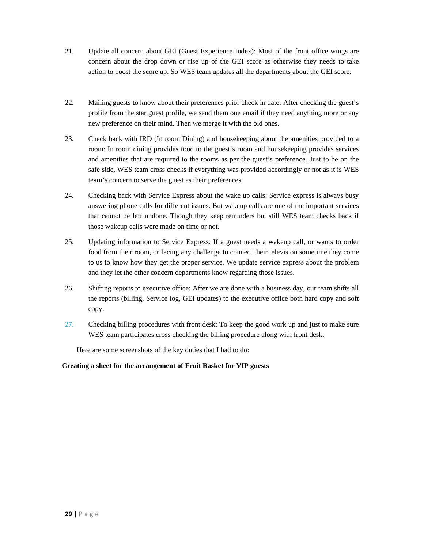- 21. Update all concern about GEI (Guest Experience Index): Most of the front office wings are concern about the drop down or rise up of the GEI score as otherwise they needs to take action to boost the score up. So WES team updates all the departments about the GEI score.
- 22. Mailing guests to know about their preferences prior check in date: After checking the guest's profile from the star guest profile, we send them one email if they need anything more or any new preference on their mind. Then we merge it with the old ones.
- 23. Check back with IRD (In room Dining) and housekeeping about the amenities provided to a room: In room dining provides food to the guest's room and housekeeping provides services and amenities that are required to the rooms as per the guest's preference. Just to be on the safe side, WES team cross checks if everything was provided accordingly or not as it is WES team's concern to serve the guest as their preferences.
- 24. Checking back with Service Express about the wake up calls: Service express is always busy answering phone calls for different issues. But wakeup calls are one of the important services that cannot be left undone. Though they keep reminders but still WES team checks back if those wakeup calls were made on time or not.
- 25. Updating information to Service Express: If a guest needs a wakeup call, or wants to order food from their room, or facing any challenge to connect their television sometime they come to us to know how they get the proper service. We update service express about the problem and they let the other concern departments know regarding those issues.
- 26. Shifting reports to executive office: After we are done with a business day, our team shifts all the reports (billing, Service log, GEI updates) to the executive office both hard copy and soft copy.
- 27. Checking billing procedures with front desk: To keep the good work up and just to make sure WES team participates cross checking the billing procedure along with front desk.

Here are some screenshots of the key duties that I had to do:

#### **Creating a sheet for the arrangement of Fruit Basket for VIP guests**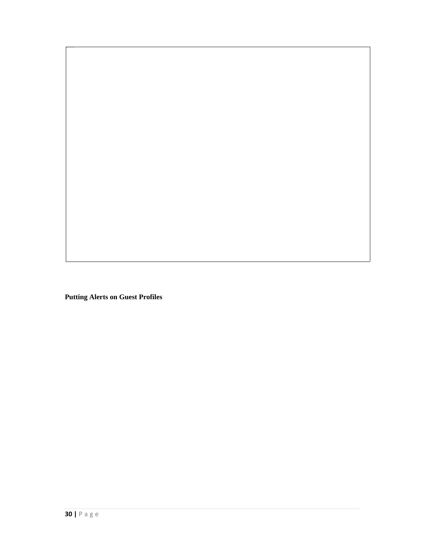**Putting Alerts on Guest Profiles**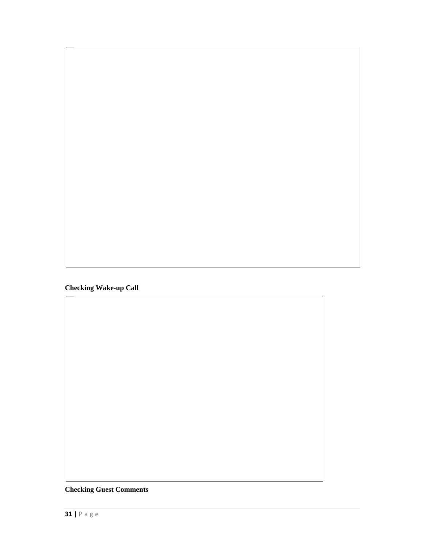**Checking Wake-up Call** 

**Checking Guest Comments**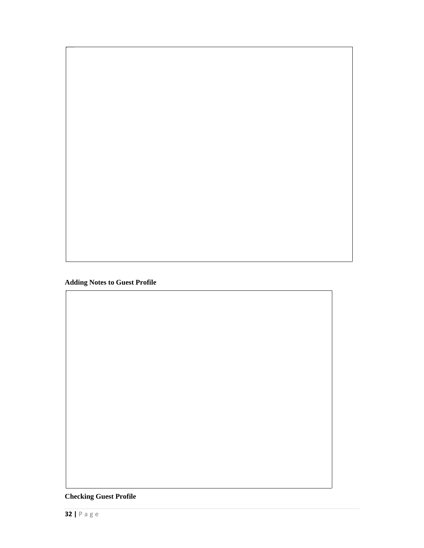**Adding Notes to Guest Profile** 

**Checking Guest Profile**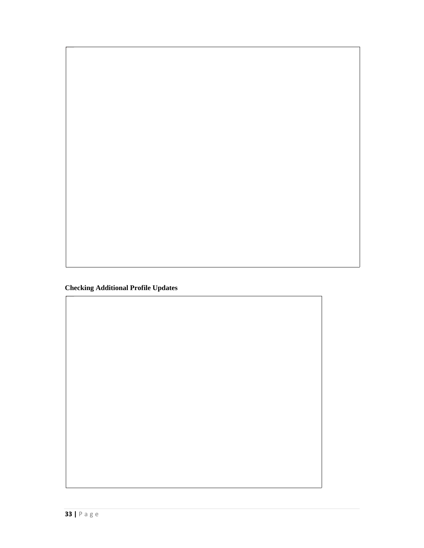**Checking Additional Profile Updates**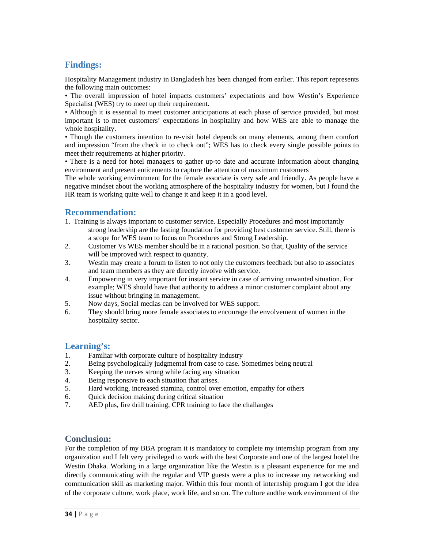## **Findings:**

Hospitality Management industry in Bangladesh has been changed from earlier. This report represents the following main outcomes:

• The overall impression of hotel impacts customers' expectations and how Westin's Experience Specialist (WES) try to meet up their requirement.

• Although it is essential to meet customer anticipations at each phase of service provided, but most important is to meet customers' expectations in hospitality and how WES are able to manage the whole hospitality.

• Though the customers intention to re-visit hotel depends on many elements, among them comfort and impression "from the check in to check out"; WES has to check every single possible points to meet their requirements at higher priority.

• There is a need for hotel managers to gather up-to date and accurate information about changing environment and present enticements to capture the attention of maximum customers

The whole working environment for the female associate is very safe and friendly. As people have a negative mindset about the working atmosphere of the hospitality industry for women, but I found the HR team is working quite well to change it and keep it in a good level.

## **Recommendation:**

- 1. Training is always important to customer service. Especially Procedures and most importantly strong leadership are the lasting foundation for providing best customer service. Still, there is a scope for WES team to focus on Procedures and Strong Leadership.
- 2. Customer Vs WES member should be in a rational position. So that, Quality of the service will be improved with respect to quantity.
- 3. Westin may create a forum to listen to not only the customers feedback but also to associates and team members as they are directly involve with service.
- 4. Empowering in very important for instant service in case of arriving unwanted situation. For example; WES should have that authority to address a minor customer complaint about any issue without bringing in management.
- 5. Now days, Social medias can be involved for WES support.
- 6. They should bring more female associates to encourage the envolvement of women in the hospitality sector.

## **Learning's:**

- 1. Familiar with corporate culture of hospitality industry
- 2. Being psychologically judgmental from case to case. Sometimes being neutral
- 3. Keeping the nerves strong while facing any situation
- 4. Being responsive to each situation that arises.
- 5. Hard working, increased stamina, control over emotion, empathy for others
- 6. Quick decision making during critical situation
- 7. AED plus, fire drill training, CPR training to face the challanges

## **Conclusion:**

For the completion of my BBA program it is mandatory to complete my internship program from any organization and I felt very privileged to work with the best Corporate and one of the largest hotel the Westin Dhaka. Working in a large organization like the Westin is a pleasant experience for me and directly communicating with the regular and VIP guests were a plus to increase my networking and communication skill as marketing major. Within this four month of internship program I got the idea of the corporate culture, work place, work life, and so on. The culture andthe work environment of the